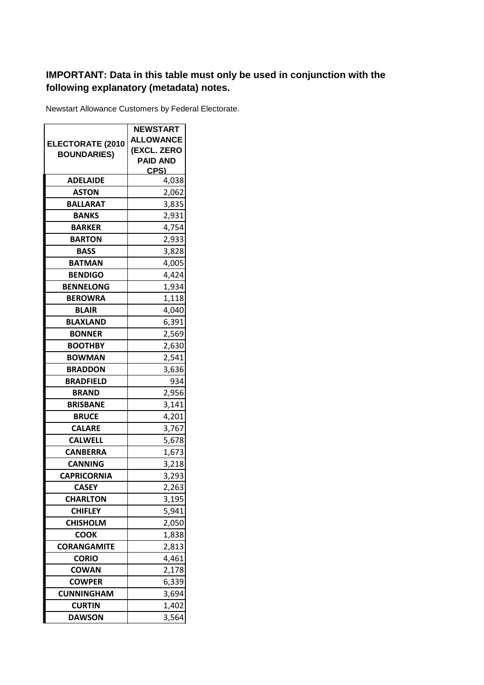## **IMPORTANT: Data in this table must only be used in conjunction with the following explanatory (metadata) notes.**

Newstart Allowance Customers by Federal Electorate.

|                         | <b>NEWSTART</b>  |
|-------------------------|------------------|
|                         | <b>ALLOWANCE</b> |
| <b>ELECTORATE (2010</b> | (EXCL. ZERO      |
| <b>BOUNDARIES)</b>      | <b>PAID AND</b>  |
|                         | CPS)             |
| <b>ADELAIDE</b>         | 4,038            |
| ASTON                   | 2,062            |
| <b>BALLARAT</b>         | 3,835            |
| <b>BANKS</b>            | 2,931            |
| <b>BARKER</b>           | 4,754            |
| <b>BARTON</b>           | 2,933            |
| <b>BASS</b>             | 3,828            |
| <b>BATMAN</b>           | 4,005            |
| <b>BENDIGO</b>          | 4,424            |
| <b>BENNELONG</b>        | 1,934            |
| <b>BEROWRA</b>          | 1,118            |
| <b>BLAIR</b>            | 4,040            |
| <b>BLAXLAND</b>         | 6,391            |
| <b>BONNER</b>           | 2,569            |
| <b>BOOTHBY</b>          | 2,630            |
| <b>BOWMAN</b>           | 2,541            |
| <b>BRADDON</b>          | 3,636            |
| <b>BRADFIELD</b>        | 934              |
| <b>BRAND</b>            | 2,956            |
| <b>BRISBANE</b>         | 3,141            |
| <b>BRUCE</b>            | 4,201            |
| <b>CALARE</b>           | 3,767            |
| <b>CALWELL</b>          | 5,678            |
| <b>CANBERRA</b>         | 1,673            |
| <b>CANNING</b>          | 3,218            |
| <b>CAPRICORNIA</b>      | 3,293            |
| CASEY                   | 2,263            |
| <b>CHARLTON</b>         | 3,195            |
| <b>CHIFLEY</b>          | 5,941            |
| <b>CHISHOLM</b>         | 2,050            |
| <b>COOK</b>             | 1,838            |
| <b>CORANGAMITE</b>      | 2,813            |
| <b>CORIO</b>            | 4,461            |
| <b>COWAN</b>            | 2,178            |
| <b>COWPER</b>           | 6,339            |
| <b>CUNNINGHAM</b>       | 3,694            |
| <b>CURTIN</b>           | 1,402            |
| <b>DAWSON</b>           | 3,564            |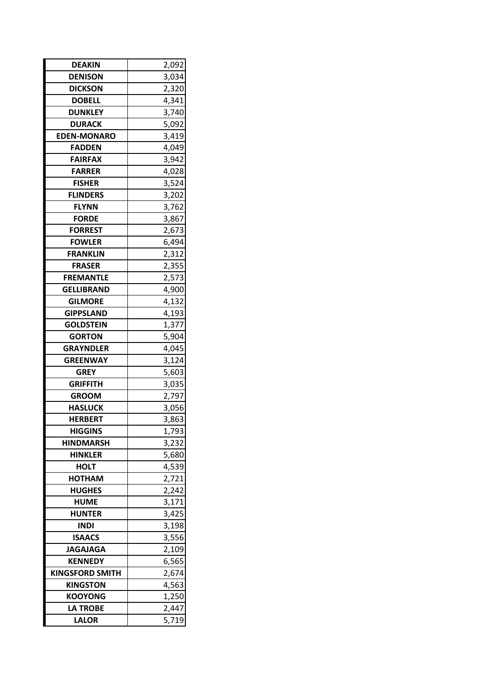| <b>DEAKIN</b>          | 2,092 |
|------------------------|-------|
| <b>DENISON</b>         | 3,034 |
| <b>DICKSON</b>         | 2,320 |
| <b>DOBELL</b>          | 4,341 |
| <b>DUNKLEY</b>         | 3,740 |
| <b>DURACK</b>          | 5,092 |
| <b>EDEN-MONARO</b>     | 3,419 |
| <b>FADDEN</b>          | 4,049 |
| <b>FAIRFAX</b>         | 3,942 |
| <b>FARRER</b>          | 4,028 |
| <b>FISHER</b>          | 3,524 |
| <b>FLINDERS</b>        | 3,202 |
| <b>FLYNN</b>           | 3,762 |
| <b>FORDE</b>           | 3,867 |
| <b>FORREST</b>         | 2,673 |
| <b>FOWLER</b>          | 6,494 |
| <b>FRANKLIN</b>        | 2,312 |
| <b>FRASER</b>          | 2,355 |
| <b>FREMANTLE</b>       | 2,573 |
| <b>GELLIBRAND</b>      | 4,900 |
| <b>GILMORE</b>         | 4,132 |
| <b>GIPPSLAND</b>       | 4,193 |
| <b>GOLDSTEIN</b>       | 1,377 |
| <b>GORTON</b>          | 5,904 |
| <b>GRAYNDLER</b>       | 4,045 |
| <b>GREENWAY</b>        | 3,124 |
| <b>GREY</b>            | 5,603 |
| <b>GRIFFITH</b>        | 3,035 |
| <b>GROOM</b>           | 2,797 |
| <b>HASLUCK</b>         | 3,056 |
| <b>HERBERT</b>         | 3,863 |
| <b>HIGGINS</b>         | 1,793 |
| <b>HINDMARSH</b>       | 3,232 |
| <b>HINKLER</b>         | 5,680 |
| <b>HOLT</b>            | 4,539 |
| HOTHAM                 | 2,721 |
| <b>HUGHES</b>          | 2,242 |
| <b>HUME</b>            | 3,171 |
| <b>HUNTER</b>          | 3,425 |
| INDI                   | 3,198 |
| <b>ISAACS</b>          | 3,556 |
| <b>JAGAJAGA</b>        | 2,109 |
| <b>KENNEDY</b>         | 6,565 |
| <b>KINGSFORD SMITH</b> | 2,674 |
| <b>KINGSTON</b>        | 4,563 |
| <b>KOOYONG</b>         | 1,250 |
| <b>LA TROBE</b>        | 2,447 |
| <b>LALOR</b>           | 5,719 |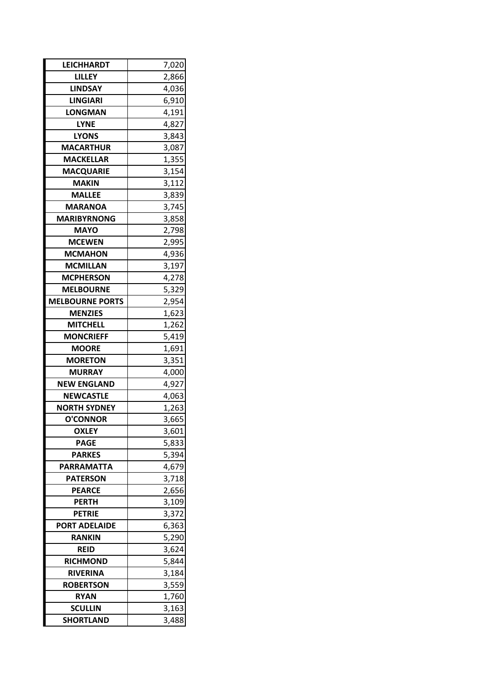| <b>LEICHHARDT</b>      | 7,020 |
|------------------------|-------|
| LILLEY                 | 2,866 |
| LINDSAY                | 4,036 |
| <b>LINGIARI</b>        | 6,910 |
| LONGMAN                | 4,191 |
| <b>LYNE</b>            | 4,827 |
| <b>LYONS</b>           | 3,843 |
| <b>MACARTHUR</b>       | 3,087 |
| <b>MACKELLAR</b>       | 1,355 |
| MACQUARIE              | 3,154 |
| <b>MAKIN</b>           | 3,112 |
| <b>MALLEE</b>          | 3,839 |
| <b>MARANOA</b>         | 3,745 |
| <b>MARIBYRNONG</b>     | 3,858 |
| <b>MAYO</b>            | 2,798 |
| <b>MCEWEN</b>          | 2,995 |
| <b>MCMAHON</b>         | 4,936 |
| <b>MCMILLAN</b>        | 3,197 |
| <b>MCPHERSON</b>       | 4,278 |
| <b>MELBOURNE</b>       | 5,329 |
| <b>MELBOURNE PORTS</b> | 2,954 |
| <b>MENZIES</b>         | 1,623 |
| <b>MITCHELL</b>        | 1,262 |
| <b>MONCRIEFF</b>       | 5,419 |
| <b>MOORE</b>           | 1,691 |
| <b>MORETON</b>         | 3,351 |
| <b>MURRAY</b>          | 4,000 |
| <b>NEW ENGLAND</b>     | 4,927 |
| <b>NEWCASTLE</b>       | 4,063 |
| <b>NORTH SYDNEY</b>    | 1,263 |
| <b>O'CONNOR</b>        | 3,665 |
| <b>OXLEY</b>           | 3,601 |
| <b>PAGE</b>            | 5,833 |
| <b>PARKES</b>          | 5,394 |
| PARRAMATTA             | 4,679 |
| <b>PATERSON</b>        | 3,718 |
| <b>PEARCE</b>          | 2,656 |
| <b>PERTH</b>           | 3,109 |
| <b>PETRIE</b>          | 3,372 |
| <b>PORT ADELAIDE</b>   | 6,363 |
| RANKIN                 | 5,290 |
| <b>REID</b>            | 3,624 |
| <b>RICHMOND</b>        | 5,844 |
| <b>RIVERINA</b>        | 3,184 |
| <b>ROBERTSON</b>       | 3,559 |
| <b>RYAN</b>            | 1,760 |
| <b>SCULLIN</b>         | 3,163 |
| <b>SHORTLAND</b>       | 3,488 |